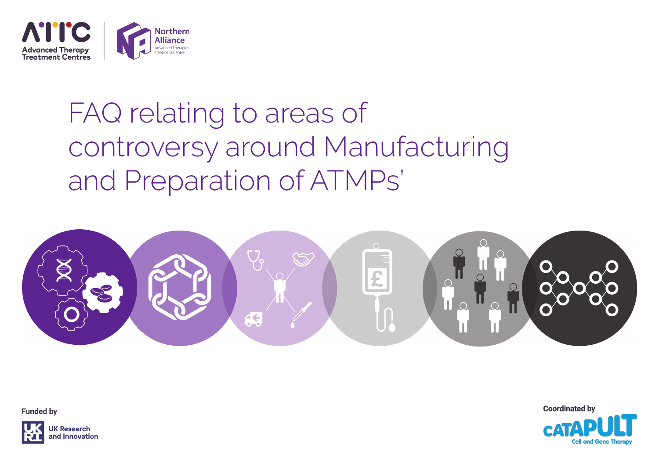

# FAQ relating to areas of controversy around Manufacturing and Preparation of ATMPs'



**Funded by** 



**Research** Innovation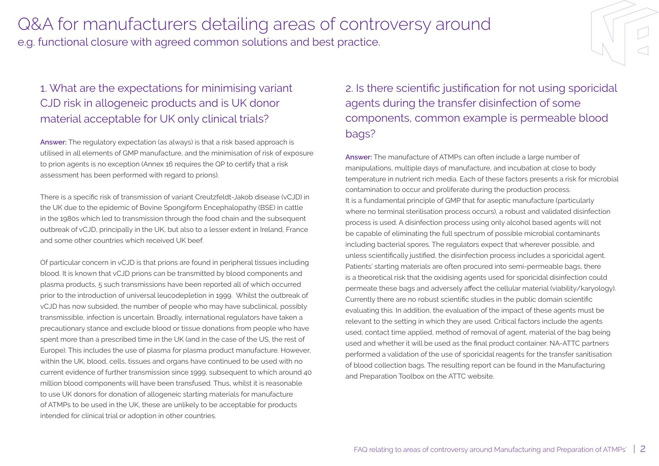#### 1. What are the expectations for minimising variant CJD risk in allogeneic products and is UK donor material acceptable for UK only clinical trials?

**Answer:** The regulatory expectation (as always) is that a risk based approach is utilised in all elements of GMP manufacture, and the minimisation of risk of exposure to prion agents is no exception (Annex 16 requires the QP to certify that a risk assessment has been performed with regard to prions).

There is a specific risk of transmission of variant Creutzfeldt-Jakob disease (vCJD) in the UK due to the epidemic of Bovine Spongiform Encephalopathy (BSE) in cattle in the 1980s which led to transmission through the food chain and the subsequent outbreak of vCJD, principally in the UK, but also to a lesser extent in Ireland, France and some other countries which received UK beef.

Of particular concern in vCJD is that prions are found in peripheral tissues including blood. It is known that vCJD prions can be transmitted by blood components and plasma products, 5 such transmissions have been reported all of which occurred prior to the introduction of universal leucodepletion in 1999. Whilst the outbreak of vCJD has now subsided, the number of people who may have subclinical, possibly transmissible, infection is uncertain. Broadly, international regulators have taken a precautionary stance and exclude blood or tissue donations from people who have spent more than a prescribed time in the UK (and in the case of the US, the rest of Europe). This includes the use of plasma for plasma product manufacture. However, within the UK, blood, cells, tissues and organs have continued to be used with no current evidence of further transmission since 1999, subsequent to which around 40 million blood components will have been transfused. Thus, whilst it is reasonable to use UK donors for donation of allogeneic starting materials for manufacture of ATMPs to be used in the UK, these are unlikely to be acceptable for products intended for clinical trial or adoption in other countries.

2. Is there scientific justification for not using sporicidal agents during the transfer disinfection of some components, common example is permeable blood bags?

**Answer:** The manufacture of ATMPs can often include a large number of manipulations, multiple days of manufacture, and incubation at close to body temperature in nutrient rich media. Each of these factors presents a risk for microbial contamination to occur and proliferate during the production process. It is a fundamental principle of GMP that for aseptic manufacture (particularly where no terminal sterilisation process occurs), a robust and validated disinfection process is used. A disinfection process using only alcohol based agents will not be capable of eliminating the full spectrum of possible microbial contaminants including bacterial spores. The regulators expect that wherever possible, and unless scientifically justified, the disinfection process includes a sporicidal agent. Patients' starting materials are often procured into semi-permeable bags, there is a theoretical risk that the oxidising agents used for sporicidal disinfection could permeate these bags and adversely affect the cellular material (viability/karyology). Currently there are no robust scientific studies in the public domain scientific evaluating this. In addition, the evaluation of the impact of these agents must be relevant to the setting in which they are used. Critical factors include the agents used, contact time applied, method of removal of agent, material of the bag being used and whether it will be used as the final product container. NA-ATTC partners performed a validation of the use of sporicidal reagents for the transfer sanitisation of blood collection bags. The resulting report can be found in the Manufacturing and Preparation Toolbox on the ATTC website.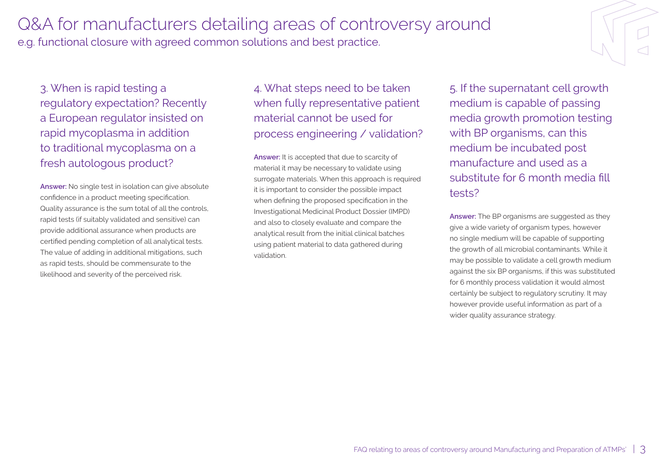3. When is rapid testing a regulatory expectation? Recently a European regulator insisted on rapid mycoplasma in addition to traditional mycoplasma on a fresh autologous product?

**Answer:** No single test in isolation can give absolute confidence in a product meeting specification. Quality assurance is the sum total of all the controls, rapid tests (if suitably validated and sensitive) can provide additional assurance when products are certified pending completion of all analytical tests. The value of adding in additional mitigations, such as rapid tests, should be commensurate to the likelihood and severity of the perceived risk.

4. What steps need to be taken when fully representative patient material cannot be used for process engineering / validation?

**Answer:** It is accepted that due to scarcity of material it may be necessary to validate using surrogate materials. When this approach is required it is important to consider the possible impact when defining the proposed specification in the Investigational Medicinal Product Dossier (IMPD) and also to closely evaluate and compare the analytical result from the initial clinical batches using patient material to data gathered during validation.

5. If the supernatant cell growth medium is capable of passing media growth promotion testing with BP organisms, can this medium be incubated post manufacture and used as a substitute for 6 month media fill tests?

**Answer:** The BP organisms are suggested as they give a wide variety of organism types, however no single medium will be capable of supporting the growth of all microbial contaminants. While it may be possible to validate a cell growth medium against the six BP organisms, if this was substituted for 6 monthly process validation it would almost certainly be subject to regulatory scrutiny. It may however provide useful information as part of a wider quality assurance strategy.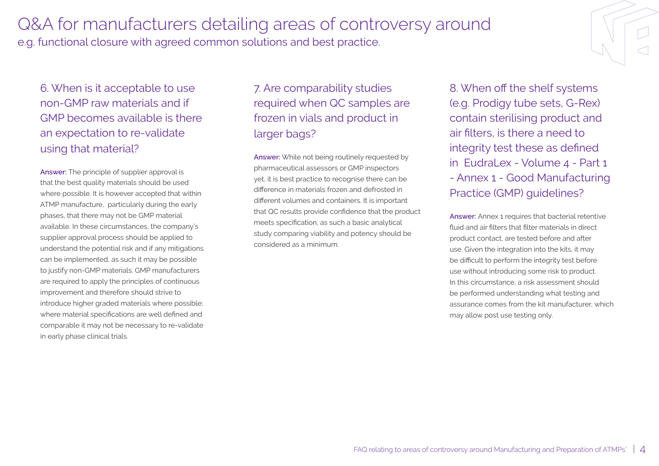6. When is it acceptable to use non-GMP raw materials and if GMP becomes available is there an expectation to re-validate using that material?

**Answer:** The principle of supplier approval is that the best quality materials should be used where possible. It is however accepted that within ATMP manufacture, particularly during the early phases, that there may not be GMP material available. In these circumstances, the company's supplier approval process should be applied to understand the potential risk and if any mitigations can be implemented, as such it may be possible to justify non-GMP materials. GMP manufacturers are required to apply the principles of continuous improvement and therefore should strive to introduce higher graded materials where possible; where material specifications are well defined and comparable it may not be necessary to re-validate in early phase clinical trials.

7. Are comparability studies required when QC samples are frozen in vials and product in larger bags?

**Answer:** While not being routinely requested by pharmaceutical assessors or GMP inspectors yet, it is best practice to recognise there can be difference in materials frozen and defrosted in different volumes and containers. It is important that QC results provide confidence that the product meets specification, as such a basic analytical study comparing viability and potency should be considered as a minimum.

8. When off the shelf systems (e.g. Prodigy tube sets, G-Rex) contain sterilising product and air filters, is there a need to integrity test these as defined in EudraLex - Volume 4 - Part 1 - Annex 1 - Good Manufacturing Practice (GMP) guidelines?

**Answer:** Annex 1 requires that bacterial retentive fluid and air filters that filter materials in direct product contact, are tested before and after use. Given the integration into the kits, it may be difficult to perform the integrity test before use without introducing some risk to product. In this circumstance, a risk assessment should be performed understanding what testing and assurance comes from the kit manufacturer, which may allow post use testing only.